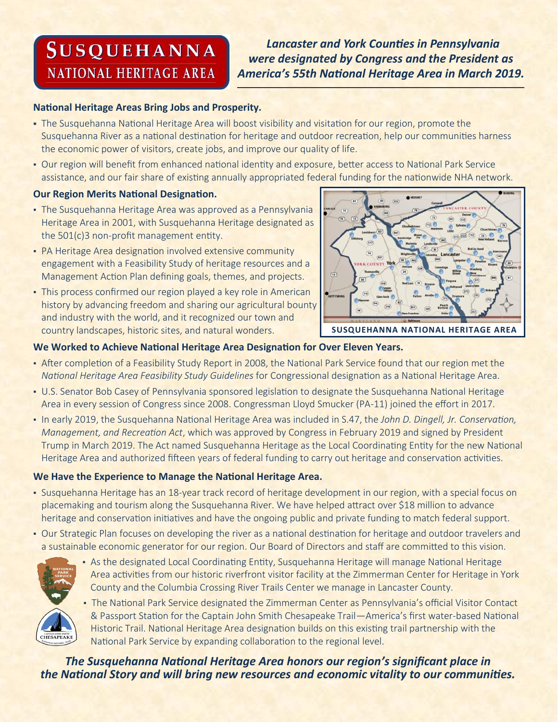# **SUSQUEHANNA NATIONAL HERITAGE AREA**

 *Lancaster and York Counties in Pennsylvania were designated by Congress and the President as America's 55th National Heritage Area in March 2019.*

#### **National Heritage Areas Bring Jobs and Prosperity.**

- The Susquehanna National Heritage Area will boost visibility and visitation for our region, promote the Susquehanna River as a national destination for heritage and outdoor recreation, help our communities harness the economic power of visitors, create jobs, and improve our quality of life.
- Our region will benefit from enhanced national identity and exposure, better access to National Park Service assistance, and our fair share of existing annually appropriated federal funding for the nationwide NHA network.

#### **Our Region Merits National Designation.**

- **· The Susquehanna Heritage Area was approved as a Pennsylvania** Heritage Area in 2001, with Susquehanna Heritage designated as the 501(c)3 non-profit management entity.
- PA Heritage Area designation involved extensive community engagement with a Feasibility Study of heritage resources and a Management Action Plan defining goals, themes, and projects.
- This process confirmed our region played a key role in American history by advancing freedom and sharing our agricultural bounty and industry with the world, and it recognized our town and country landscapes, historic sites, and natural wonders.



**SUSQUEHANNA NATIONAL HERITAGE AREA**

#### **We Worked to Achieve National Heritage Area Designation for Over Eleven Years.**

- After completion of a Feasibility Study Report in 2008, the National Park Service found that our region met the *National Heritage Area Feasibility Study Guidelines* for Congressional designation as a National Heritage Area.
- U.S. Senator Bob Casey of Pennsylvania sponsored legislation to designate the Susquehanna National Heritage Area in every session of Congress since 2008. Congressman Lloyd Smucker (PA-11) joined the effort in 2017.
- In early 2019, the Susquehanna National Heritage Area was included in S.47, the *John D. Dingell, Jr. Conservation, Management, and Recreation Act*, which was approved by Congress in February 2019 and signed by President Trump in March 2019. The Act named Susquehanna Heritage as the Local Coordinating Entity for the new National Heritage Area and authorized fifteen years of federal funding to carry out heritage and conservation activities.

#### **We Have the Experience to Manage the National Heritage Area.**

- Susquehanna Heritage has an 18-year track record of heritage development in our region, with a special focus on placemaking and tourism along the Susquehanna River. We have helped attract over \$18 million to advance heritage and conservation initiatives and have the ongoing public and private funding to match federal support.
- Our Strategic Plan focuses on developing the river as a national destination for heritage and outdoor travelers and a sustainable economic generator for our region. Our Board of Directors and staff are committed to this vision.



- As the designated Local Coordinating Entity, Susquehanna Heritage will manage National Heritage Area activities from our historic riverfront visitor facility at the Zimmerman Center for Heritage in York County and the Columbia Crossing River Trails Center we manage in Lancaster County.
- The National Park Service designated the Zimmerman Center as Pennsylvania's official Visitor Contact & Passport Station for the Captain John Smith Chesapeake Trail—America's first water-based National Historic Trail. National Heritage Area designation builds on this existing trail partnership with the National Park Service by expanding collaboration to the regional level.

*The Susquehanna National Heritage Area honors our region's significant place in the National Story and will bring new resources and economic vitality to our communities.*